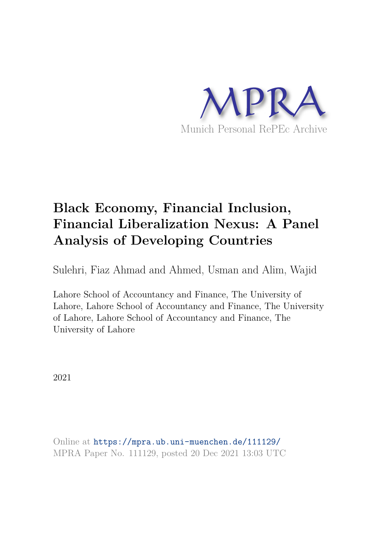

# **Black Economy, Financial Inclusion, Financial Liberalization Nexus: A Panel Analysis of Developing Countries**

Sulehri, Fiaz Ahmad and Ahmed, Usman and Alim, Wajid

Lahore School of Accountancy and Finance, The University of Lahore, Lahore School of Accountancy and Finance, The University of Lahore, Lahore School of Accountancy and Finance, The University of Lahore

2021

Online at https://mpra.ub.uni-muenchen.de/111129/ MPRA Paper No. 111129, posted 20 Dec 2021 13:03 UTC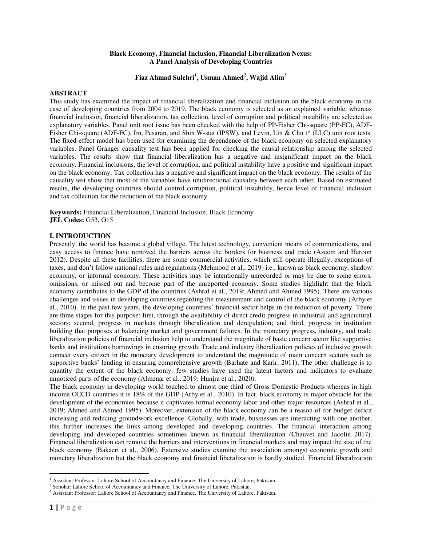## **Black Economy, Financial Inclusion, Financial Liberalization Nexus: A Panel Analysis of Developing Countries**

# **Fiaz Ahmad Sulehri<sup>1</sup> , Usman Ahmed<sup>2</sup> , Wajid Alim<sup>3</sup>**

### **ABSTRACT**

This study has examined the impact of financial liberalization and financial inclusion on the black economy in the case of developing countries from 2004 to 2019. The black economy is selected as an explained variable, whereas financial inclusion, financial liberalization, tax collection, level of corruption and political instability are selected as explanatory variables. Panel unit root issue has been checked with the help of PP-Fisher Chi-square (PP-FC), ADF-Fisher Chi-square (ADF-FC), Im, Pesaran, and Shin W-stat (IPSW), and Levin, Lin & Chu t\* (LLC) unit root tests. The fixed-effect model has been used for examining the dependence of the black economy on selected explanatory variables. Panel Granger causality test has been applied for checking the causal relationship among the selected variables. The results show that financial liberalization has a negative and insignificant impact on the black economy. Financial inclusions, the level of corruption, and political instability have a positive and significant impact on the black economy. Tax collection has a negative and significant impact on the black economy. The results of the causality test show that most of the variables have unidirectional causality between each other. Based on estimated results, the developing countries should control corruption, political instability, hence level of financial inclusion and tax collection for the reduction of the black economy.

**Keywords:** Financial Liberalization, Financial Inclusion, Black Economy **JEL Codes:** G53, O15

## **I. INTRODUCTION**

Presently, the world has become a global village. The latest technology, convenient means of communications, and easy access to finance have removed the barriers across the borders for business and trade (Azeem and Haroon 2012). Despite all these facilities, there are some commercial activities, which still operate illegally, exceptions of taxes, and don't follow national rules and regulations (Mehmood et al., 2019) i.e., known as black economy, shadow economy, or informal economy. These activities may be intentionally unrecorded or may be due to some errors, omissions, or missed out and become part of the unreported economy. Some studies highlight that the black economy contributes to the GDP of the countries (Ashraf et al., 2019; Ahmed and Ahmed 1995). There are various challenges and issues in developing countries regarding the measurement and control of the black economy (Arby et al., 2010). In the past few years, the developing countries' financial sector helps in the reduction of poverty. There are three stages for this purpose: first, through the availability of direct credit progress in industrial and agricultural sectors; second, progress in markets through liberalization and deregulation; and third, progress in institution building that purposes at balancing market and government failures. In the monetary progress, industry, and trade liberalization policies of financial inclusion help to understand the magnitude of basic concern sector like supportive banks and institutions borrowings in ensuring growth. Trade and industry liberalization policies of inclusive growth connect every citizen in the monetary development to understand the magnitude of main concern sectors such as supportive banks' lending in ensuring comprehensive growth (Barhate and Karir, 2011). The other challenge is to quantity the extent of the black economy, few studies have used the latent factors and indicators to evaluate unnoticed parts of the economy (Almenar et al., 2019; Hunjra et al., 2020).

The black economy in developing world touched to almost one third of Gross Domestic Products whereas in high income OECD countries it is 18% of the GDP (Arby et al., 2010). In fact, black economy is major obstacle for the development of the economies because it captivates formal economy labor and other major resources (Ashraf et al., 2019; Ahmed and Ahmed 1995). Moreover, extension of the black economy can be a reason of for budget deficit increasing and reducing groundwork excellence. Globally, with trade, businesses are interacting with one another, this further increases the links among developed and developing countries. The financial interaction among developing and developed countries sometimes known as financial liberalization (Chauvet and Jacolin 2017). Financial liberalization can remove the barriers and interventions in financial markets and may impact the size of the black economy (Bakaert et al., 2006). Extensive studies examine the association amongst economic growth and monetary liberalization but the black economy and financial liberalization is hardly studied. Financial liberalization

 $\overline{a}$ 

<sup>&</sup>lt;sup>1</sup> Assistant Professor: Lahore School of Accountancy and Finance, The University of Lahore, Pakistan.

<sup>&</sup>lt;sup>2</sup> Scholar: Lahore School of Accountancy and Finance, The University of Lahore, Pakistan.

<sup>&</sup>lt;sup>3</sup> Assistant Professor: Lahore School of Accountancy and Finance, The University of Lahore, Pakistan.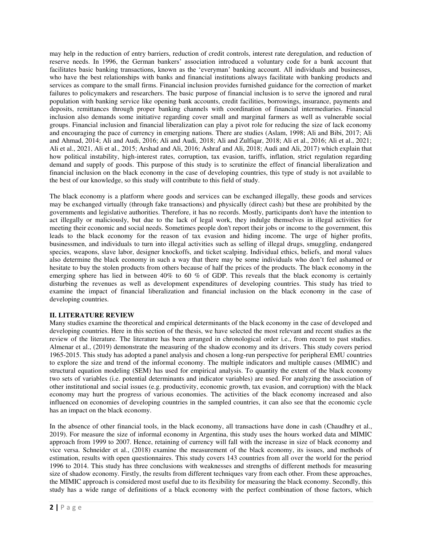may help in the reduction of entry barriers, reduction of credit controls, interest rate deregulation, and reduction of reserve needs. In 1996, the German bankers' association introduced a voluntary code for a bank account that facilitates basic banking transactions, known as the 'everyman' banking account. All individuals and businesses, who have the best relationships with banks and financial institutions always facilitate with banking products and services as compare to the small firms. Financial inclusion provides furnished guidance for the correction of market failures to policymakers and researchers. The basic purpose of financial inclusion is to serve the ignored and rural population with banking service like opening bank accounts, credit facilities, borrowings, insurance, payments and deposits, remittances through proper banking channels with coordination of financial intermediaries. Financial inclusion also demands some initiative regarding cover small and marginal farmers as well as vulnerable social groups. Financial inclusion and financial liberalization can play a pivot role for reducing the size of lack economy and encouraging the pace of currency in emerging nations. There are studies (Aslam, 1998; Ali and Bibi, 2017; Ali and Ahmad, 2014; Ali and Audi, 2016; Ali and Audi, 2018; Ali and Zulfiqar, 2018; Ali et al., 2016; Ali et al., 2021; Ali et al., 2021, Ali et al., 2015; Arshad and Ali, 2016; Ashraf and Ali, 2018; Audi and Ali, 2017) which explain that how political instability, high-interest rates, corruption, tax evasion, tariffs, inflation, strict regulation regarding demand and supply of goods. This purpose of this study is to scrutinize the effect of financial liberalization and financial inclusion on the black economy in the case of developing countries, this type of study is not available to the best of our knowledge, so this study will contribute to this field of study.

The black economy is a platform where goods and services can be exchanged illegally, these goods and services may be exchanged virtually (through fake transactions) and physically (direct cash) but these are prohibited by the governments and legislative authorities. Therefore, it has no records. Mostly, participants don't have the intention to act illegally or maliciously, but due to the lack of legal work, they indulge themselves in illegal activities for meeting their economic and social needs. Sometimes people don't report their jobs or income to the government, this leads to the black economy for the reason of tax evasion and hiding income. The urge of higher profits, businessmen, and individuals to turn into illegal activities such as selling of illegal drugs, smuggling, endangered species, weapons, slave labor, designer knockoffs, and ticket scalping. Individual ethics, beliefs, and moral values also determine the black economy in such a way that there may be some individuals who don't feel ashamed or hesitate to buy the stolen products from others because of half the prices of the products. The black economy in the emerging sphere has lied in between 40% to 60 % of GDP. This reveals that the black economy is certainly disturbing the revenues as well as development expenditures of developing countries. This study has tried to examine the impact of financial liberalization and financial inclusion on the black economy in the case of developing countries.

# **II. LITERATURE REVIEW**

Many studies examine the theoretical and empirical determinants of the black economy in the case of developed and developing countries. Here in this section of the thesis, we have selected the most relevant and recent studies as the review of the literature. The literature has been arranged in chronological order i.e., from recent to past studies. Almenar et al., (2019) demonstrate the measuring of the shadow economy and its drivers. This study covers period 1965-2015. This study has adopted a panel analysis and chosen a long-run perspective for peripheral EMU countries to explore the size and trend of the informal economy. The multiple indicators and multiple causes (MIMIC) and structural equation modeling (SEM) has used for empirical analysis. To quantity the extent of the black economy two sets of variables (i.e. potential determinants and indicator variables) are used. For analyzing the association of other institutional and social issues (e.g. productivity, economic growth, tax evasion, and corruption) with the black economy may hurt the progress of various economies. The activities of the black economy increased and also influenced on economies of developing countries in the sampled countries, it can also see that the economic cycle has an impact on the black economy.

In the absence of other financial tools, in the black economy, all transactions have done in cash (Chaudhry et al., 2019). For measure the size of informal economy in Argentina, this study uses the hours worked data and MIMIC approach from 1999 to 2007. Hence, retaining of currency will fall with the increase in size of black economy and vice versa. Schneider et al., (2018) examine the measurement of the black economy, its issues, and methods of estimation, results with open questionnaires. This study covers 143 countries from all over the world for the period 1996 to 2014. This study has three conclusions with weaknesses and strengths of different methods for measuring size of shadow economy. Firstly, the results from different techniques vary from each other. From these approaches, the MIMIC approach is considered most useful due to its flexibility for measuring the black economy. Secondly, this study has a wide range of definitions of a black economy with the perfect combination of those factors, which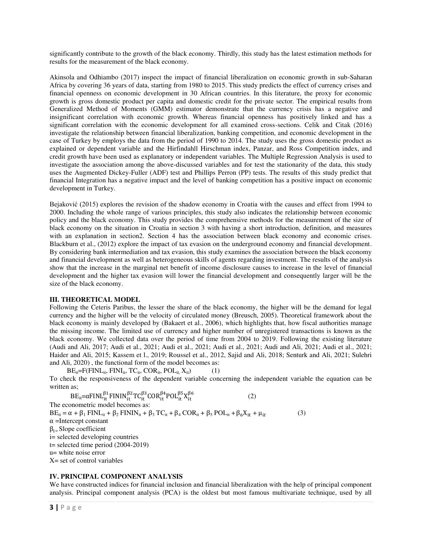significantly contribute to the growth of the black economy. Thirdly, this study has the latest estimation methods for results for the measurement of the black economy.

Akinsola and Odhiambo (2017) inspect the impact of financial liberalization on economic growth in sub-Saharan Africa by covering 36 years of data, starting from 1980 to 2015. This study predicts the effect of currency crises and financial openness on economic development in 30 African countries. In this literature, the proxy for economic growth is gross domestic product per capita and domestic credit for the private sector. The empirical results from Generalized Method of Moments (GMM) estimator demonstrate that the currency crisis has a negative and insignificant correlation with economic growth. Whereas financial openness has positively linked and has a significant correlation with the economic development for all examined cross-sections. Celik and Citak (2016) investigate the relationship between financial liberalization, banking competition, and economic development in the case of Turkey by employs the data from the period of 1990 to 2014. The study uses the gross domestic product as explained or dependent variable and the Hirfindahll Hirschman index, Panzar, and Ross Competition index, and credit growth have been used as explanatory or independent variables. The Multiple Regression Analysis is used to investigate the association among the above-discussed variables and for test the stationarity of the data, this study uses the Augmented Dickey-Fuller (ADF) test and Phillips Perron (PP) tests. The results of this study predict that financial Integration has a negative impact and the level of banking competition has a positive impact on economic development in Turkey.

Bejaković (2015) explores the revision of the shadow economy in Croatia with the causes and effect from 1994 to 2000. Including the whole range of various principles, this study also indicates the relationship between economic policy and the black economy. This study provides the comprehensive methods for the measurement of the size of black economy on the situation in Croatia in section 3 with having a short introduction, definition, and measures with an explanation in section2. Section 4 has the association between black economy and economic crises. Blackburn et al., (2012) explore the impact of tax evasion on the underground economy and financial development. By considering bank intermediation and tax evasion, this study examines the association between the black economy and financial development as well as heterogeneous skills of agents regarding investment. The results of the analysis show that the increase in the marginal net benefit of income disclosure causes to increase in the level of financial development and the higher tax evasion will lower the financial development and consequently larger will be the size of the black economy.

# **III. THEORETICAL MODEL**

Following the Ceteris Paribus, the lesser the share of the black economy, the higher will be the demand for legal currency and the higher will be the velocity of circulated money (Breusch, 2005). Theoretical framework about the black economy is mainly developed by (Bakaert et al., 2006), which highlights that, how fiscal authorities manage the missing income. The limited use of currency and higher number of unregistered transactions is known as the black economy. We collected data over the period of time from 2004 to 2019. Following the existing literature (Audi and Ali, 2017; Audi et al., 2021; Audi et al., 2021; Audi et al., 2021; Audi and Ali, 2021; Audi et al., 2021; Haider and Ali, 2015; Kassem et l., 2019; Roussel et al., 2012, Sajid and Ali, 2018; Senturk and Ali, 2021; Sulehri and Ali, 2020) , the functional form of the model becomes as:

 $BE_{it} = F(FINL_{it}, FINI_{it}, TC_{it}, COR_{it}, POL_{it}, X_{it})$  (1)

To check the responsiveness of the dependent variable concerning the independent variable the equation can be written as;

 $BE_{it} = \alpha FINL_{it}^{\beta 1} FININ_{it}^{\beta 2}TC_{it}^{\beta 3}COR_{it}^{\beta 4}POL_{it}^{\beta 5}X_{it}^{\beta}$  (2) The econometric model becomes as:  $BE_{it} = \alpha + \beta_1 FINL_{it} + \beta_2 FININ_{it} + \beta_3 TC_{it} + \beta_4 COR_{it} + \beta_5 POL_{it} + \beta_6 X_{it} + \mu_{it}$  (3)  $\alpha$  =Intercept constant  $\beta_{i}$ = Slope coefficient i= selected developing countries  $t=$  selected time period (2004-2019) u= white noise error  $X = set of control variables$ 

### **IV. PRINCIPAL COMPONENT ANALYSIS**

We have constructed indices for financial inclusion and financial liberalization with the help of principal component analysis. Principal component analysis (PCA) is the oldest but most famous multivariate technique, used by all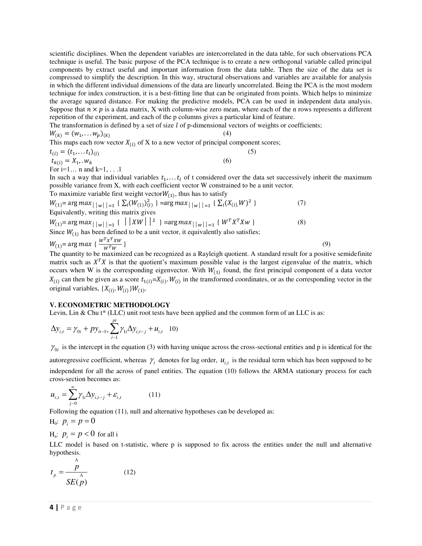scientific disciplines. When the dependent variables are intercorrelated in the data table, for such observations PCA technique is useful. The basic purpose of the PCA technique is to create a new orthogonal variable called principal components by extract useful and important information from the data table. Then the size of the data set is compressed to simplify the description. In this way, structural observations and variables are available for analysis in which the different individual dimensions of the data are linearly uncorrelated. Being the PCA is the most modern technique for index construction, it is a best-fitting line that can be originated from points. Which helps to minimize the average squared distance. For making the predictive models, PCA can be used in independent data analysis. Suppose that  $n \times p$  is a data matrix, X with column-wise zero mean, where each of the n rows represents a different repetition of the experiment, and each of the p columns gives a particular kind of feature.

The transformation is defined by a set of size  $l$  of p-dimensional vectors of weights or coefficients;

$$
W_{(k)} = (w_1, \dots w_p)_{(k)}
$$
\nThis maps each row vector  $X_{(i)}$  of X to a new vector of principal component scores;

$$
t_{(i)} = (t_1, \dots t_l)_{(i)}
$$
  
\n
$$
t_{k(i)} = X_1, w_k
$$
\n(5)

For i=1... n and  $k=1, \ldots 1$ 

In such a way that individual variables  $t_1, \ldots t_l$  of t considered over the data set successively inherit the maximum possible variance from X, with each coefficient vector W constrained to be a unit vector.

To maximize variable first weight vector  $W_{(1)}$ , thus has to satisfy

$$
W_{(1)} = \arg max_{\vert \vert w \vert \vert = 1} \{ \sum_{i} (W_{(1)})_{(i)}^2 \} = \arg max_{\vert \vert w \vert \vert = 1} \{ \sum_{i} (X_{(i)} \vert W)^2 \}
$$
\n(7)

\nEquivalently, writing this matrix gives

$$
W_{(1)} = \arg max_{\vert \vert w \vert \vert = 1} \{ \vert \vert XW \vert \vert^2 \} = \arg max_{\vert \vert w \vert \vert = 1} \{ W^T X^T X w \}
$$
\n
$$
\text{Since } W_{(1)} \text{ has been defined to be a unit vector, it equivalently also satisfies:}
$$
\n
$$
(8)
$$

$$
W_{(1)} = \arg \max \left\{ \frac{W^T X^T X W}{W^T W} \right\} \tag{9}
$$

The quantity to be maximized can be recognized as a Rayleigh quotient. A standard result for a positive semidefinite matrix such as  $X<sup>T</sup>X$  is that the quotient's maximum possible value is the largest eigenvalue of the matrix, which occurs when W is the corresponding eigenvector. With  $W_{(1)}$  found, the first principal component of a data vector  $X_{(i)}$  can then be given as a score  $t_{1(i)} = X_{(i)} \cdot W_{(i)}$  in the transformed coordinates, or as the corresponding vector in the original variables,  $\{X_{(i)}, W_{(i)}\}W_{(1)}$ .

## **V. ECONOMETRIC METHODOLOGY**

Levin, Lin & Chu t<sup>\*</sup> (LLC) unit root tests have been applied and the common form of an LLC is as:

$$
\Delta y_{i,t} = \gamma_{0i} + p y_{it-1} \sum_{i=1}^{pi} \gamma_{1i} \Delta y_{i,t-j} + u_{i,t} \quad 10)
$$

 $\gamma_{0i}$  is the intercept in the equation (3) with having unique across the cross-sectional entities and p is identical for the

autoregressive coefficient, whereas  $\gamma_i$  denotes for lag order,  $u_{i,t}$  is the residual term which has been supposed to be independent for all the across of panel entities. The equation (10) follows the ARMA stationary process for each cross-section becomes as:

$$
u_{i,t} = \sum_{j=0}^{\infty} \gamma_{1i} \Delta y_{i,t-j} + \varepsilon_{i,t}
$$
 (11)

Following the equation (11), null and alternative hypotheses can be developed as:

$$
H_0: p_i = p = 0
$$

 $\Lambda$ 

 $H_a$ :  $p_i = p < 0$  for all i

LLC model is based on t-statistic, where p is supposed to fix across the entities under the null and alternative hypothesis.

$$
t_p = \frac{p}{SE(p)}
$$
 (12)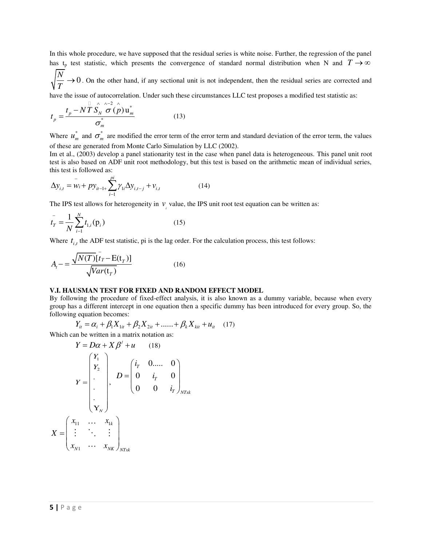In this whole procedure, we have supposed that the residual series is white noise. Further, the regression of the panel has t<sub>p</sub> test statistic, which presents the convergence of standard normal distribution when N and  $T \rightarrow \infty$ 

 $\rightarrow$  0. On the other hand, if any sectional unit is not independent, then the residual series are corrected and *N T*

have the issue of autocorrelation. Under such these circumstances LLC test proposes a modified test statistic as:

$$
t_p = \frac{t_p - N\overline{T}\overline{S}_N^{\wedge} \overline{\sigma}(\stackrel{\wedge}{p})\mathbf{u}_m^*}{\sigma_m^*}
$$
(13)

Where  $u_n^*$  $u_m^*$  and  $\sigma_m^*$  are modified the error term of the error term and standard deviation of the error term, the values of these are generated from Monte Carlo Simulation by LLC (2002).

Im et al., (2003) develop a panel stationarity test in the case when panel data is heterogeneous. This panel unit root test is also based on ADF unit root methodology, but this test is based on the arithmetic mean of individual series, this test is followed as:

$$
\Delta y_{i,t} = \overline{w_i + py_{i-1+} \sum_{i-1}^{pi} \gamma_{1i} \Delta y_{i,t-j} + v_{i,t}}
$$
(14)

The IPS test allows for heterogeneity in  $v_i$  value, the IPS unit root test equation can be written as:

$$
t_{T}^{-} = \frac{1}{N} \sum_{i=1}^{N} t_{1,i}(\mathbf{p}_{i})
$$
\n(15)

Where  $t_{i,t}$  the ADF test statistic, pi is the lag order. For the calculation process, this test follows:

$$
A_{t} = \frac{\sqrt{N(T)}[\bar{t}_{T} - \mathbf{E}(\mathbf{t}_{T})]}{\sqrt{Var(\mathbf{t}_{T})}}
$$
(16)

## **V.I. HAUSMAN TEST FOR FIXED AND RANDOM EFFECT MODEL**

By following the procedure of fixed-effect analysis, it is also known as a dummy variable, because when every group has a different intercept in one equation then a specific dummy has been introduced for every group. So, the following equation becomes:

$$
Y_{it} = \alpha_i + \beta_1 X_{1it} + \beta_2 X_{2it} + \dots + \beta_k X_{kit} + u_{it} \quad (17)
$$

Which can be written in a matrix notation as:

$$
Y = D\alpha + X\beta' + u \qquad (18)
$$

$$
Y = \begin{bmatrix} Y_1 \\ Y_2 \\ \vdots \\ Y_N \end{bmatrix}, \qquad D = \begin{bmatrix} i_r & 0 \dots & 0 \\ 0 & i_r & 0 \\ 0 & 0 & i_r \end{bmatrix}_{NTx}
$$

$$
X = \begin{bmatrix} x_{11} & \dots & x_{1k} \\ \vdots & \ddots & \vdots \\ x_{N1} & \dots & x_{NK} \end{bmatrix}_{NTx}
$$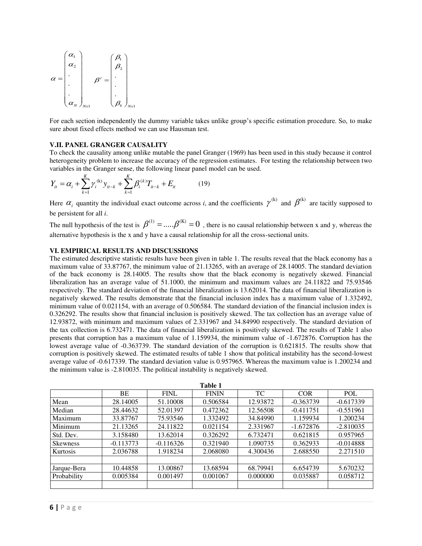$$
\alpha = \begin{pmatrix} \alpha_1 \\ \alpha_2 \\ \vdots \\ \alpha_N \end{pmatrix}_{Nx1} \beta' = \begin{pmatrix} \beta_1 \\ \beta_2 \\ \vdots \\ \beta_k \end{pmatrix}_{Nx1}
$$

For each section independently the dummy variable takes unlike group's specific estimation procedure. So, to make sure about fixed effects method we can use Hausman test.

#### **V.II. PANEL GRANGER CAUSALITY**

To check the causality among unlike mutable the panel Granger (1969) has been used in this study because it control heterogeneity problem to increase the accuracy of the regression estimates. For testing the relationship between two variables in the Granger sense, the following linear panel model can be used.

$$
Y_{it} = \alpha_i + \sum_{k=1}^{K} \gamma_i^{(k)} y_{it-k} + \sum_{k=1}^{K} \beta_i^{(k)} T_{it-k} + E_{it}
$$
 (19)

Here  $\alpha_i$  quantity the individual exact outcome across *i*, and the coefficients  $\gamma^{(k)}$  and  $\beta^{(k)}$  are tacitly supposed to be persistent for all *i*.

The null hypothesis of the test is  $\beta^{(1)} = .... \beta^{(K)} = 0$ , there is no causal relationship between x and y, whereas the alternative hypothesis is the x and y have a causal relationship for all the cross-sectional units.

## **VI. EMPIRICAL RESULTS AND DISCUSSIONS**

The estimated descriptive statistic results have been given in table 1. The results reveal that the black economy has a maximum value of 33.87767, the minimum value of 21.13265, with an average of 28.14005. The standard deviation of the back economy is 28.14005. The results show that the black economy is negatively skewed. Financial liberalization has an average value of 51.1000, the minimum and maximum values are 24.11822 and 75.93546 respectively. The standard deviation of the financial liberalization is 13.62014. The data of financial liberalization is negatively skewed. The results demonstrate that the financial inclusion index has a maximum value of 1.332492, minimum value of 0.021154, with an average of 0.506584. The standard deviation of the financial inclusion index is 0.326292. The results show that financial inclusion is positively skewed. The tax collection has an average value of 12.93872, with minimum and maximum values of 2.331967 and 34.84990 respectively. The standard deviation of the tax collection is 6.732471. The data of financial liberalization is positively skewed. The results of Table 1 also presents that corruption has a maximum value of 1.159934, the minimum value of -1.672876. Corruption has the lowest average value of -0.363739. The standard deviation of the corruption is 0.621815. The results show that corruption is positively skewed. The estimated results of table 1 show that political instability has the second-lowest average value of -0.617339. The standard deviation value is 0.957965. Whereas the maximum value is 1.200234 and the minimum value is -2.810035. The political instability is negatively skewed.

| Table 1         |             |             |              |          |             |             |  |
|-----------------|-------------|-------------|--------------|----------|-------------|-------------|--|
|                 | BE          | <b>FINL</b> | <b>FININ</b> | TC       | <b>COR</b>  | <b>POL</b>  |  |
| Mean            | 28.14005    | 51.10008    | 0.506584     | 12.93872 | $-0.363739$ | $-0.617339$ |  |
| Median          | 28.44632    | 52.01397    | 0.472362     | 12.56508 | $-0.411751$ | $-0.551961$ |  |
| Maximum         | 33.87767    | 75.93546    | 1.332492     | 34.84990 | 1.159934    | 1.200234    |  |
| Minimum         | 21.13265    | 24.11822    | 0.021154     | 2.331967 | $-1.672876$ | $-2.810035$ |  |
| Std. Dev.       | 3.158480    | 13.62014    | 0.326292     | 6.732471 | 0.621815    | 0.957965    |  |
| <b>Skewness</b> | $-0.113773$ | $-0.116326$ | 0.321940     | 1.090735 | 0.362933    | $-0.014888$ |  |
| Kurtosis        | 2.036788    | 1.918234    | 2.068080     | 4.300436 | 2.688550    | 2.271510    |  |
|                 |             |             |              |          |             |             |  |
| Jarque-Bera     | 10.44858    | 13.00867    | 13.68594     | 68.79941 | 6.654739    | 5.670232    |  |
| Probability     | 0.005384    | 0.001497    | 0.001067     | 0.000000 | 0.035887    | 0.058712    |  |
|                 |             |             |              |          |             |             |  |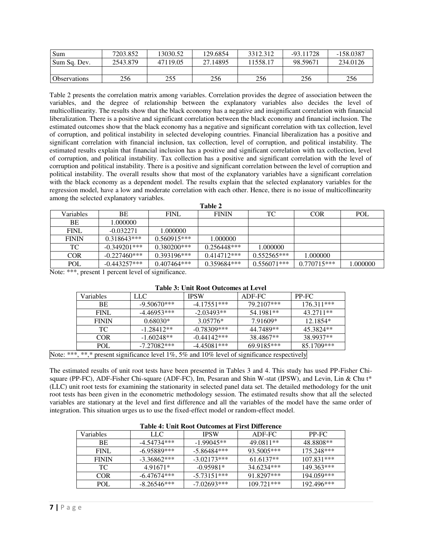| Sum          | 7203.852 | 13030.52 | 129.6854 | 3312.312 | $-93.11728$ | $-158.0387$ |
|--------------|----------|----------|----------|----------|-------------|-------------|
| Sum Sq. Dev. | 2543.879 | 47119.05 | 27.14895 | 11558.17 | 98.59671    | 234.0126    |
|              |          |          |          |          |             |             |
| Observations | 256      | 255      | 256      | 256      | 256         | 256         |

Table 2 presents the correlation matrix among variables. Correlation provides the degree of association between the variables, and the degree of relationship between the explanatory variables also decides the level of multicollinearity. The results show that the black economy has a negative and insignificant correlation with financial liberalization. There is a positive and significant correlation between the black economy and financial inclusion. The estimated outcomes show that the black economy has a negative and significant correlation with tax collection, level of corruption, and political instability in selected developing countries. Financial liberalization has a positive and significant correlation with financial inclusion, tax collection, level of corruption, and political instability. The estimated results explain that financial inclusion has a positive and significant correlation with tax collection, level of corruption, and political instability. Tax collection has a positive and significant correlation with the level of corruption and political instability. There is a positive and significant correlation between the level of corruption and political instability. The overall results show that most of the explanatory variables have a significant correlation with the black economy as a dependent model. The results explain that the selected explanatory variables for the regression model, have a low and moderate correlation with each other. Hence, there is no issue of multicollinearity among the selected explanatory variables. **Table 2** 

| 1 apie 2     |                                                   |                |               |               |               |          |  |
|--------------|---------------------------------------------------|----------------|---------------|---------------|---------------|----------|--|
| Variables    | ВE                                                | <b>FINL</b>    | <b>FININ</b>  | TC            | <b>COR</b>    | POL      |  |
| ВE           | 1.000000                                          |                |               |               |               |          |  |
| <b>FINL</b>  | $-0.032271$                                       | 1.000000       |               |               |               |          |  |
| <b>FININ</b> | $0.318643***$                                     | $0.560915***$  | 1.000000      |               |               |          |  |
| TC.          | $-0.349201$ ***                                   | $0.380200$ *** | $0.256448***$ | 1.000000      |               |          |  |
| <b>COR</b>   | $-0.227460***$                                    | $0.393196***$  | $0.414712***$ | $0.552565***$ | 1.000000      |          |  |
| POL          | $-0.443257***$                                    | $0.407464***$  | 0.359684***   | $0.556071***$ | $0.770715***$ | 1.000000 |  |
|              | Notat *** procent 1 percent level of cignificance |                |               |               |               |          |  |

Note: \*\*\*, present 1 percent level of significance.

|                                                                                                     | <b>Variables</b> | LLC .         | <b>IPSW</b>   | ADF-FC     | PP-FC        |  |
|-----------------------------------------------------------------------------------------------------|------------------|---------------|---------------|------------|--------------|--|
|                                                                                                     |                  |               |               |            |              |  |
|                                                                                                     | BE               | $-9.50670***$ | $-4.17551***$ | 79.2107*** | $176.311***$ |  |
|                                                                                                     | FINI.            | $-4.46953***$ | $-2.03493**$  | 54.1981**  | 43.2711**    |  |
|                                                                                                     | <b>FININ</b>     | $0.68030*$    | $3.05776*$    | 7.91609*   | 12.1854*     |  |
|                                                                                                     | TC.              | $-1.28412**$  | $-0.78309***$ | 44.7489**  | 45.3824**    |  |
|                                                                                                     | <b>COR</b>       | $-1.60248**$  | $-0.44142***$ | 38.4867**  | 38.9937**    |  |
|                                                                                                     | POL              | $-7.27082***$ | $-4.45081***$ | 69.9185*** | 85.1709***   |  |
| Note: ***, **,* present significance level $1\%$ , 5% and $10\%$ level of significance respectively |                  |               |               |            |              |  |

# **Table 3: Unit Root Outcomes at Level**

The estimated results of unit root tests have been presented in Tables 3 and 4. This study has used PP-Fisher Chisquare (PP-FC), ADF-Fisher Chi-square (ADF-FC), Im, Pesaran and Shin W-stat (IPSW), and Levin, Lin & Chu t\* (LLC) unit root tests for examining the stationarity in selected panel data set. The detailed methodology for the unit root tests has been given in the econometric methodology session. The estimated results show that all the selected variables are stationary at the level and first difference and all the variables of the model have the same order of integration. This situation urges us to use the fixed-effect model or random-effect model.

| Table 4. Unit Noot Outcomes at First Difference |               |               |              |              |  |  |  |
|-------------------------------------------------|---------------|---------------|--------------|--------------|--|--|--|
| Variables                                       | LLC           | <b>IPSW</b>   | ADF-FC       | PP-FC        |  |  |  |
| BE.                                             | $-4.54734***$ | $-1.99045**$  | 49.0811**    | 48.8808**    |  |  |  |
| FINL.                                           | $-6.95889***$ | $-5.86484***$ | 93.5005***   | $175.248***$ |  |  |  |
| <b>FININ</b>                                    | $-3.36862***$ | $-3.02173***$ | $61.6137**$  | $107.831***$ |  |  |  |
| TС.                                             | 4.91671*      | $-0.95981*$   | 34.6234***   | 149.363***   |  |  |  |
| COR.                                            | $-6.47674***$ | $-5.73151***$ | 91.8297***   | 194.059***   |  |  |  |
| POL.                                            | $-8.26546***$ | $-7.02693***$ | $109.721***$ | 192.496***   |  |  |  |

## **Table 4: Unit Root Outcomes at First Difference**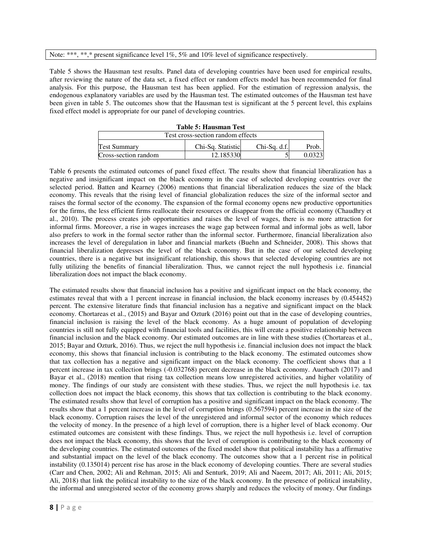#### Note: \*\*\*, \*\*,\* present significance level  $1\%$ , 5% and  $10\%$  level of significance respectively.

Table 5 shows the Hausman test results. Panel data of developing countries have been used for empirical results, after reviewing the nature of the data set, a fixed effect or random effects model has been recommended for final analysis. For this purpose, the Hausman test has been applied. For the estimation of regression analysis, the endogenous explanatory variables are used by the Hausman test. The estimated outcomes of the Hausman test have been given in table 5. The outcomes show that the Hausman test is significant at the 5 percent level, this explains fixed effect model is appropriate for our panel of developing countries.

| Table 5: Hausman Test             |                   |              |       |  |  |  |
|-----------------------------------|-------------------|--------------|-------|--|--|--|
| Test cross-section random effects |                   |              |       |  |  |  |
| <b>Test Summary</b>               | Chi-Sq. Statistic | Chi-Sq. d.f. | Prob. |  |  |  |
| Cross-section random              | 12.185330         |              |       |  |  |  |

**Table 5: Hausman Test** 

Table 6 presents the estimated outcomes of panel fixed effect. The results show that financial liberalization has a negative and insignificant impact on the black economy in the case of selected developing countries over the selected period. Batten and Kearney (2006) mentions that financial liberalization reduces the size of the black economy. This reveals that the rising level of financial globalization reduces the size of the informal sector and raises the formal sector of the economy. The expansion of the formal economy opens new productive opportunities for the firms, the less efficient firms reallocate their resources or disappear from the official economy (Chaudhry et al., 2010). The process creates job opportunities and raises the level of wages, there is no more attraction for informal firms. Moreover, a rise in wages increases the wage gap between formal and informal jobs as well, labor also prefers to work in the formal sector rather than the informal sector. Furthermore, financial liberalization also increases the level of deregulation in labor and financial markets (Buehn and Schneider, 2008). This shows that financial liberalization depresses the level of the black economy. But in the case of our selected developing countries, there is a negative but insignificant relationship, this shows that selected developing countries are not fully utilizing the benefits of financial liberalization. Thus, we cannot reject the null hypothesis i.e. financial liberalization does not impact the black economy.

The estimated results show that financial inclusion has a positive and significant impact on the black economy, the estimates reveal that with a 1 percent increase in financial inclusion, the black economy increases by (0.454452) percent. The extensive literature finds that financial inclusion has a negative and significant impact on the black economy. Chortareas et al., (2015) and Bayar and Ozturk (2016) point out that in the case of developing countries, financial inclusion is raising the level of the black economy. As a huge amount of population of developing countries is still not fully equipped with financial tools and facilities, this will create a positive relationship between financial inclusion and the black economy. Our estimated outcomes are in line with these studies (Chortareas et al., 2015; Bayar and Ozturk, 2016). Thus, we reject the null hypothesis i.e. financial inclusion does not impact the black economy, this shows that financial inclusion is contributing to the black economy. The estimated outcomes show that tax collection has a negative and significant impact on the black economy. The coefficient shows that a 1 percent increase in tax collection brings (-0.032768) percent decrease in the black economy. Auerbach (2017) and Bayar et al., (2018) mention that rising tax collection means low unregistered activities, and higher volatility of money. The findings of our study are consistent with these studies. Thus, we reject the null hypothesis i.e. tax collection does not impact the black economy, this shows that tax collection is contributing to the black economy. The estimated results show that level of corruption has a positive and significant impact on the black economy. The results show that a 1 percent increase in the level of corruption brings (0.567594) percent increase in the size of the black economy. Corruption raises the level of the unregistered and informal sector of the economy which reduces the velocity of money. In the presence of a high level of corruption, there is a higher level of black economy. Our estimated outcomes are consistent with these findings. Thus, we reject the null hypothesis i.e. level of corruption does not impact the black economy, this shows that the level of corruption is contributing to the black economy of the developing countries. The estimated outcomes of the fixed model show that political instability has a affirmative and substantial impact on the level of the black economy. The outcomes show that a 1 percent rise in political instability (0.135014) percent rise has arose in the black economy of developing counties. There are several studies (Carr and Chen, 2002; Ali and Rehman, 2015; Ali and Senturk, 2019; Ali and Naeem, 2017; Ali, 2011; Ali, 2015; Ali, 2018) that link the political instability to the size of the black economy. In the presence of political instability, the informal and unregistered sector of the economy grows sharply and reduces the velocity of money. Our findings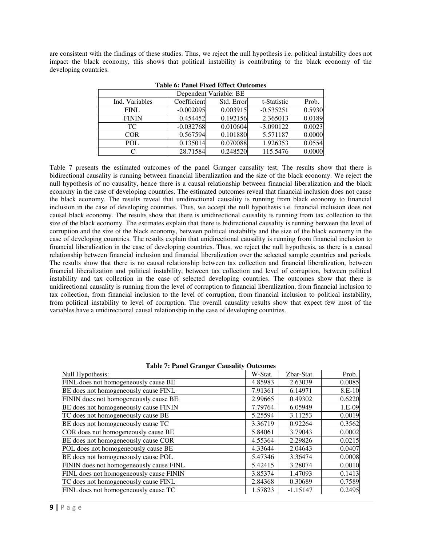are consistent with the findings of these studies. Thus, we reject the null hypothesis i.e. political instability does not impact the black economy, this shows that political instability is contributing to the black economy of the developing countries.

| Dependent Variable: BE |             |            |             |        |  |  |  |
|------------------------|-------------|------------|-------------|--------|--|--|--|
| Ind. Variables         | Coefficient | Std. Error | t-Statistic | Prob.  |  |  |  |
| <b>FINL</b>            | $-0.002095$ | 0.003915   | $-0.535251$ | 0.5930 |  |  |  |
| <b>FININ</b>           | 0.454452    | 0.192156   | 2.365013    | 0.0189 |  |  |  |
| TC.                    | $-0.032768$ | 0.010604   | $-3.090122$ | 0.0023 |  |  |  |
| <b>COR</b>             | 0.567594    | 0.101880   | 5.571187    | 0.0000 |  |  |  |
| <b>POL</b>             | 0.135014    | 0.070088   | 1.926353    | 0.0554 |  |  |  |
|                        | 28.71584    | 0.248520   | 115.5476    | 0.0000 |  |  |  |

|  |  |  |  | <b>Table 6: Panel Fixed Effect Outcomes</b> |
|--|--|--|--|---------------------------------------------|
|--|--|--|--|---------------------------------------------|

Table 7 presents the estimated outcomes of the panel Granger causality test. The results show that there is bidirectional causality is running between financial liberalization and the size of the black economy. We reject the null hypothesis of no causality, hence there is a causal relationship between financial liberalization and the black economy in the case of developing countries. The estimated outcomes reveal that financial inclusion does not cause the black economy. The results reveal that unidirectional causality is running from black economy to financial inclusion in the case of developing countries. Thus, we accept the null hypothesis i.e. financial inclusion does not causal black economy. The results show that there is unidirectional causality is running from tax collection to the size of the black economy. The estimates explain that there is bidirectional causality is running between the level of corruption and the size of the black economy, between political instability and the size of the black economy in the case of developing countries. The results explain that unidirectional causality is running from financial inclusion to financial liberalization in the case of developing countries. Thus, we reject the null hypothesis, as there is a causal relationship between financial inclusion and financial liberalization over the selected sample countries and periods. The results show that there is no causal relationship between tax collection and financial liberalization, between financial liberalization and political instability, between tax collection and level of corruption, between political instability and tax collection in the case of selected developing countries. The outcomes show that there is unidirectional causality is running from the level of corruption to financial liberalization, from financial inclusion to tax collection, from financial inclusion to the level of corruption, from financial inclusion to political instability, from political instability to level of corruption. The overall causality results show that expect few most of the variables have a unidirectional causal relationship in the case of developing countries.

**Table 7: Panel Granger Causality Outcomes** 

| $\frac{1}{2}$                           |         |            |        |
|-----------------------------------------|---------|------------|--------|
| Null Hypothesis:                        | W-Stat. | Zbar-Stat. | Prob.  |
| FINL does not homogeneously cause BE    | 4.85983 | 2.63039    | 0.0085 |
| BE does not homogeneously cause FINL    | 7.91361 | 6.14971    | 8.E-10 |
| FININ does not homogeneously cause BE   | 2.99665 | 0.49302    | 0.6220 |
| BE does not homogeneously cause FININ   | 7.79764 | 6.05949    | 1.E-09 |
| TC does not homogeneously cause BE      | 5.25594 | 3.11253    | 0.0019 |
| BE does not homogeneously cause TC      | 3.36719 | 0.92264    | 0.3562 |
| COR does not homogeneously cause BE     | 5.84061 | 3.79043    | 0.0002 |
| BE does not homogeneously cause COR     | 4.55364 | 2.29826    | 0.0215 |
| POL does not homogeneously cause BE     | 4.33644 | 2.04643    | 0.0407 |
| BE does not homogeneously cause POL     | 5.47346 | 3.36474    | 0.0008 |
| FININ does not homogeneously cause FINL | 5.42415 | 3.28074    | 0.0010 |
| FINL does not homogeneously cause FININ | 3.85374 | 1.47093    | 0.1413 |
| TC does not homogeneously cause FINL    | 2.84368 | 0.30689    | 0.7589 |
| FINL does not homogeneously cause TC    | 1.57823 | $-1.15147$ | 0.2495 |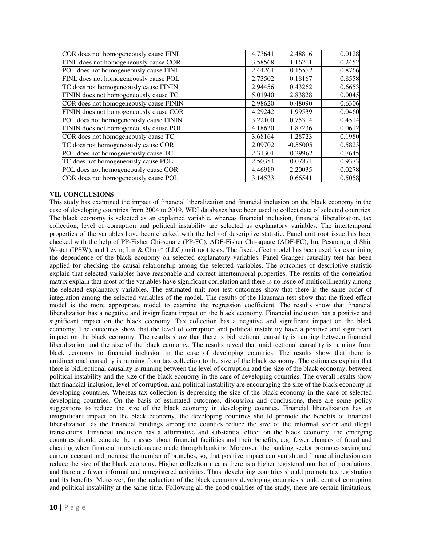| COR does not homogeneously cause FINL  | 4.73641 | 2.48816    | 0.0128 |
|----------------------------------------|---------|------------|--------|
| FINL does not homogeneously cause COR  | 3.58568 | 1.16201    | 0.2452 |
| POL does not homogeneously cause FINL  | 2.44261 | $-0.15532$ | 0.8766 |
| FINL does not homogeneously cause POL  | 2.73502 | 0.18167    | 0.8558 |
| TC does not homogeneously cause FININ  | 2.94456 | 0.43262    | 0.6653 |
| FININ does not homogeneously cause TC  | 5.01940 | 2.83828    | 0.0045 |
| COR does not homogeneously cause FININ | 2.98620 | 0.48090    | 0.6306 |
| FININ does not homogeneously cause COR | 4.29242 | 1.99539    | 0.0460 |
| POL does not homogeneously cause FININ | 3.22100 | 0.75314    | 0.4514 |
| FININ does not homogeneously cause POL | 4.18630 | 1.87236    | 0.0612 |
| COR does not homogeneously cause TC    | 3.68164 | 1.28723    | 0.1980 |
| TC does not homogeneously cause COR    | 2.09702 | $-0.55005$ | 0.5823 |
| POL does not homogeneously cause TC    | 2.31301 | $-0.29962$ | 0.7645 |
| TC does not homogeneously cause POL    | 2.50354 | $-0.07871$ | 0.9373 |
| POL does not homogeneously cause COR   | 4.46919 | 2.20035    | 0.0278 |
| COR does not homogeneously cause POL   | 3.14533 | 0.66541    | 0.5058 |

# **VII. CONCLUSIONS**

This study has examined the impact of financial liberalization and financial inclusion on the black economy in the case of developing countries from 2004 to 2019. WDI databases have been used to collect data of selected countries. The black economy is selected as an explained variable, whereas financial inclusion, financial liberalization, tax collection, level of corruption and political instability are selected as explanatory variables. The intertemporal properties of the variables have been checked with the help of descriptive statistic. Panel unit root issue has been checked with the help of PP-Fisher Chi-square (PP-FC), ADF-Fisher Chi-square (ADF-FC), Im, Pesaran, and Shin W-stat (IPSW), and Levin, Lin & Chu t\* (LLC) unit root tests. The fixed-effect model has been used for examining the dependence of the black economy on selected explanatory variables. Panel Granger causality test has been applied for checking the causal relationship among the selected variables. The outcomes of descriptive statistic explain that selected variables have reasonable and correct intertemporal properties. The results of the correlation matrix explain that most of the variables have significant correlation and there is no issue of multicollinearity among the selected explanatory variables. The estimated unit root test outcomes show that there is the same order of integration among the selected variables of the model. The results of the Hausman test show that the fixed effect model is the more appropriate model to examine the regression coefficient. The results show that financial liberalization has a negative and insignificant impact on the black economy. Financial inclusion has a positive and significant impact on the black economy. Tax collection has a negative and significant impact on the black economy. The outcomes show that the level of corruption and political instability have a positive and significant impact on the black economy. The results show that there is bidirectional causality is running between financial liberalization and the size of the black economy. The results reveal that unidirectional causality is running from black economy to financial inclusion in the case of developing countries. The results show that there is unidirectional causality is running from tax collection to the size of the black economy. The estimates explain that there is bidirectional causality is running between the level of corruption and the size of the black economy, between political instability and the size of the black economy in the case of developing countries. The overall results show that financial inclusion, level of corruption, and political instability are encouraging the size of the black economy in developing countries. Whereas tax collection is depressing the size of the black economy in the case of selected developing countries. On the basis of estimated outcomes, discussion and conclusions, there are some policy suggestions to reduce the size of the black economy in developing counties. Financial liberalization has an insignificant impact on the black economy, the developing countries should promote the benefits of financial liberalization, as the financial bindings among the counties reduce the size of the informal sector and illegal transactions. Financial inclusion has a affirmative and substantial effect on the black economy, the emerging countries should educate the masses about financial facilities and their benefits, e.g. fewer chances of fraud and cheating when financial transactions are made through banking. Moreover, the banking sector promotes saving and current account and increase the number of branches, so, that positive impact can vanish and financial inclusion can reduce the size of the black economy. Higher collection means there is a higher registered number of populations, and there are fewer informal and unregistered activities. Thus, developing countries should promote tax registration and its benefits. Moreover, for the reduction of the black economy developing countries should control corruption and political instability at the same time. Following all the good qualities of the study, there are certain limitations,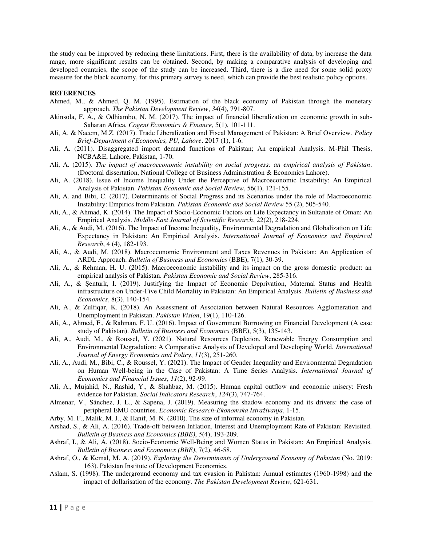the study can be improved by reducing these limitations. First, there is the availability of data, by increase the data range, more significant results can be obtained. Second, by making a comparative analysis of developing and developed countries, the scope of the study can be increased. Third, there is a dire need for some solid proxy measure for the black economy, for this primary survey is need, which can provide the best realistic policy options.

### **REFERENCES**

- Ahmed, M., & Ahmed, Q. M. (1995). Estimation of the black economy of Pakistan through the monetary approach. *The Pakistan Development Review*, *34*(4), 791-807.
- Akinsola, F. A., & Odhiambo, N. M. (2017). The impact of financial liberalization on economic growth in sub-Saharan Africa*. Cogent Economics & Finance,* 5(1), 101-111.
- Ali, A. & Naeem, M.Z. (2017). Trade Liberalization and Fiscal Management of Pakistan: A Brief Overview. *Policy Brief-Department of Economics, PU, Lahore*. 2017 (1), 1-6.
- Ali, A. (2011). Disaggregated import demand functions of Pakistan; An empirical Analysis. M-Phil Thesis, NCBA&E, Lahore, Pakistan, 1-70.
- Ali, A. (2015). *The impact of macroeconomic instability on social progress: an empirical analysis of Pakistan*. (Doctoral dissertation, National College of Business Administration & Economics Lahore).
- Ali, A. (2018). Issue of Income Inequality Under the Perceptive of Macroeconomic Instability: An Empirical Analysis of Pakistan. *Pakistan Economic and Social Review*, 56(1), 121-155.
- Ali, A. and Bibi, C. (2017). Determinants of Social Progress and its Scenarios under the role of Macroeconomic Instability: Empirics from Pakistan. *Pakistan Economic and Social Review* 55 (2), 505-540.
- Ali, A., & Ahmad, K. (2014). The Impact of Socio-Economic Factors on Life Expectancy in Sultanate of Oman: An Empirical Analysis. *Middle-East Journal of Scientific Research*, 22(2), 218-224.
- Ali, A., & Audi, M. (2016). The Impact of Income Inequality, Environmental Degradation and Globalization on Life Expectancy in Pakistan: An Empirical Analysis. *International Journal of Economics and Empirical Research*, 4 (4), 182-193.
- Ali, A., & Audi, M. (2018). Macroeconomic Environment and Taxes Revenues in Pakistan: An Application of ARDL Approach. *Bulletin of Business and Economics* (BBE), 7(1), 30-39.
- Ali, A., & Rehman, H. U. (2015). Macroeconomic instability and its impact on the gross domestic product: an empirical analysis of Pakistan. *Pakistan Economic and Social Review*, 285-316.
- Ali, A., & Şenturk, I. (2019). Justifying the Impact of Economic Deprivation, Maternal Status and Health infrastructure on Under-Five Child Mortality in Pakistan: An Empirical Analysis. *Bulletin of Business and Economics*, 8(3), 140-154.
- Ali, A., & Zulfiqar, K. (2018). An Assessment of Association between Natural Resources Agglomeration and Unemployment in Pakistan. *Pakistan Vision*, 19(1), 110-126.
- Ali, A., Ahmed, F., & Rahman, F. U. (2016). Impact of Government Borrowing on Financial Development (A case study of Pakistan). *Bulletin of Business and Economics* (BBE), 5(3), 135-143.
- Ali, A., Audi, M., & Roussel, Y. (2021). Natural Resources Depletion, Renewable Energy Consumption and Environmental Degradation: A Comparative Analysis of Developed and Developing World. *International Journal of Energy Economics and Policy*, *11*(3), 251-260.
- Ali, A., Audi, M., Bibi, C., & Roussel, Y. (2021). The Impact of Gender Inequality and Environmental Degradation on Human Well-being in the Case of Pakistan: A Time Series Analysis. *International Journal of Economics and Financial Issues*, *11*(2), 92-99.
- Ali, A., Mujahid, N., Rashid, Y., & Shahbaz, M. (2015). Human capital outflow and economic misery: Fresh evidence for Pakistan. *Social Indicators Research*, *124*(3), 747-764.
- Almenar, V., Sánchez, J. L., & Sapena, J. (2019). Measuring the shadow economy and its drivers: the case of peripheral EMU countries. *Economic Research-Ekonomska Istraživanja*, 1-15.
- Arby, M. F., Malik, M. J., & Hanif, M. N. (2010). The size of informal economy in Pakistan.
- Arshad, S., & Ali, A. (2016). Trade-off between Inflation, Interest and Unemployment Rate of Pakistan: Revisited. *Bulletin of Business and Economics (BBE)*, *5*(4), 193-209.
- Ashraf, I., & Ali, A. (2018). Socio-Economic Well-Being and Women Status in Pakistan: An Empirical Analysis. *Bulletin of Business and Economics (BBE)*, 7(2), 46-58.
- Ashraf, O., & Kemal, M. A. (2019). *Exploring the Determinants of Underground Economy of Pakistan* (No. 2019: 163). Pakistan Institute of Development Economics.
- Aslam, S. (1998). The underground economy and tax evasion in Pakistan: Annual estimates (1960-1998) and the impact of dollarisation of the economy. *The Pakistan Development Review*, 621-631.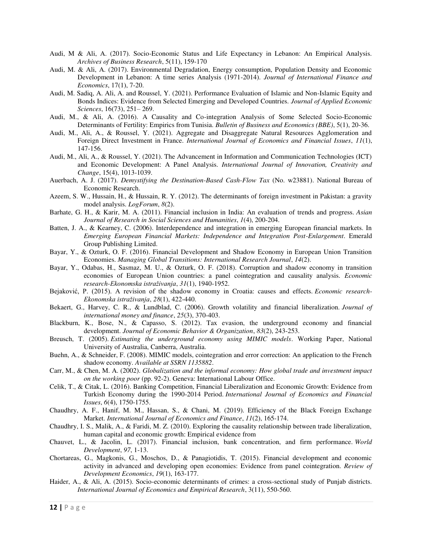- Audi, M & Ali, A. (2017). Socio-Economic Status and Life Expectancy in Lebanon: An Empirical Analysis. *Archives of Business Research*, 5(11), 159-170
- Audi, M. & Ali, A. (2017). Environmental Degradation, Energy consumption, Population Density and Economic Development in Lebanon: A time series Analysis (1971-2014). *Journal of International Finance and Economics*, 17(1), 7-20.
- Audi, M. Sadiq, A. Ali, A. and Roussel, Y. (2021). Performance Evaluation of Islamic and Non-Islamic Equity and Bonds Indices: Evidence from Selected Emerging and Developed Countries. *Journal of Applied Economic Sciences*, 16(73), 251– 269.
- Audi, M., & Ali, A. (2016). A Causality and Co-integration Analysis of Some Selected Socio-Economic Determinants of Fertility: Empirics from Tunisia. *Bulletin of Business and Economics (BBE)*, 5(1), 20-36.
- Audi, M., Ali, A., & Roussel, Y. (2021). Aggregate and Disaggregate Natural Resources Agglomeration and Foreign Direct Investment in France. *International Journal of Economics and Financial Issues*, *11*(1), 147-156.
- Audi, M., Ali, A., & Roussel, Y. (2021). The Advancement in Information and Communication Technologies (ICT) and Economic Development: A Panel Analysis. *International Journal of Innovation, Creativity and Change*, 15(4), 1013-1039.
- Auerbach, A. J. (2017). *Demystifying the Destination-Based Cash-Flow Tax* (No. w23881). National Bureau of Economic Research.
- Azeem, S. W., Hussain, H., & Hussain, R. Y. (2012). The determinants of foreign investment in Pakistan: a gravity model analysis. *LogForum*, *8*(2).
- Barhate, G. H., & Karir, M. A. (2011). Financial inclusion in India: An evaluation of trends and progress. *Asian Journal of Research in Social Sciences and Humanities*, *1*(4), 200-204.
- Batten, J. A., & Kearney, C. (2006). Interdependence and integration in emerging European financial markets. In *Emerging European Financial Markets: Independence and Integration Post-Enlargement*. Emerald Group Publishing Limited.
- Bayar, Y., & Ozturk, O. F. (2016). Financial Development and Shadow Economy in European Union Transition Economies. *Managing Global Transitions: International Research Journal*, *14*(2).
- Bayar, Y., Odabas, H., Sasmaz, M. U., & Ozturk, O. F. (2018). Corruption and shadow economy in transition economies of European Union countries: a panel cointegration and causality analysis. *Economic research-Ekonomska istraživanja*, *31*(1), 1940-1952.
- Bejaković, P. (2015). A revision of the shadow economy in Croatia: causes and effects. *Economic research-Ekonomska istraživanja*, *28*(1), 422-440.
- Bekaert, G., Harvey, C. R., & Lundblad, C. (2006). Growth volatility and financial liberalization. *Journal of international money and finance*, *25*(3), 370-403.
- Blackburn, K., Bose, N., & Capasso, S. (2012). Tax evasion, the underground economy and financial development. *Journal of Economic Behavior & Organization*, *83*(2), 243-253.
- Breusch, T. (2005). *Estimating the underground economy using MIMIC models*. Working Paper, National University of Australia, Canberra, Australia.
- Buehn, A., & Schneider, F. (2008). MIMIC models, cointegration and error correction: An application to the French shadow economy. *Available at SSRN 1135882*.
- Carr, M., & Chen, M. A. (2002). *Globalization and the informal economy: How global trade and investment impact on the working poor* (pp. 92-2). Geneva: International Labour Office.
- Celik, T., & Citak, L. (2016). Banking Competition, Financial Liberalization and Economic Growth: Evidence from Turkish Economy during the 1990-2014 Period. *International Journal of Economics and Financial Issues*, *6*(4), 1750-1755.
- Chaudhry, A. F., Hanif, M. M., Hassan, S., & Chani, M. (2019). Efficiency of the Black Foreign Exchange Market. *International Journal of Economics and Finance*, *11*(2), 165-174.
- Chaudhry, I. S., Malik, A., & Faridi, M. Z. (2010). Exploring the causality relationship between trade liberalization, human capital and economic growth: Empirical evidence from
- Chauvet, L., & Jacolin, L. (2017). Financial inclusion, bank concentration, and firm performance. *World Development*, *97*, 1-13.
- Chortareas, G., Magkonis, G., Moschos, D., & Panagiotidis, T. (2015). Financial development and economic activity in advanced and developing open economies: Evidence from panel cointegration. *Review of Development Economics*, *19*(1), 163-177.
- Haider, A., & Ali, A. (2015). Socio-economic determinants of crimes: a cross-sectional study of Punjab districts. *International Journal of Economics and Empirical Research*, 3(11), 550-560.